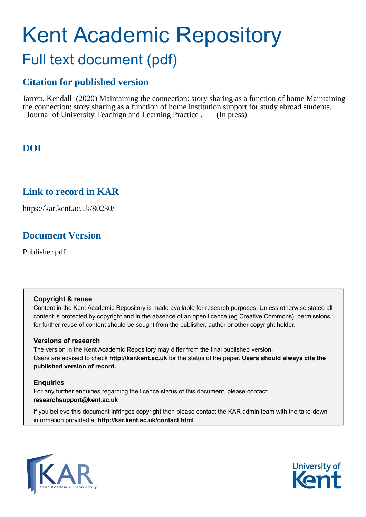# Kent Academic Repository Full text document (pdf)

## **Citation for published version**

Jarrett, Kendall (2020) Maintaining the connection: story sharing as a function of home Maintaining the connection: story sharing as a function of home institution support for study abroad students. Journal of University Teachign and Learning Practice . (In press)

## **DOI**

## **Link to record in KAR**

https://kar.kent.ac.uk/80230/

## **Document Version**

Publisher pdf

#### **Copyright & reuse**

Content in the Kent Academic Repository is made available for research purposes. Unless otherwise stated all content is protected by copyright and in the absence of an open licence (eg Creative Commons), permissions for further reuse of content should be sought from the publisher, author or other copyright holder.

#### **Versions of research**

The version in the Kent Academic Repository may differ from the final published version. Users are advised to check **http://kar.kent.ac.uk** for the status of the paper. **Users should always cite the published version of record.**

#### **Enquiries**

For any further enquiries regarding the licence status of this document, please contact: **researchsupport@kent.ac.uk**

If you believe this document infringes copyright then please contact the KAR admin team with the take-down information provided at **http://kar.kent.ac.uk/contact.html**



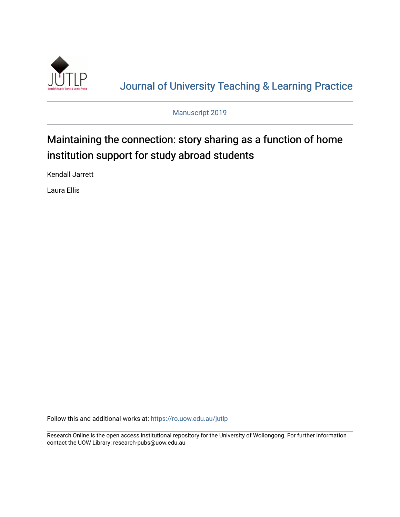

[Journal of University Teaching & Learning Practice](https://ro.uow.edu.au/jutlp) 

Manuscript 2019

## Maintaining the connection: story sharing as a function of home institution support for study abroad students

Kendall Jarrett

Laura Ellis

Follow this and additional works at: [https://ro.uow.edu.au/jutlp](https://ro.uow.edu.au/jutlp?utm_source=ro.uow.edu.au%2Fjutlp%2Fvol1%2Fiss1%2F1&utm_medium=PDF&utm_campaign=PDFCoverPages) 

Research Online is the open access institutional repository for the University of Wollongong. For further information contact the UOW Library: research-pubs@uow.edu.au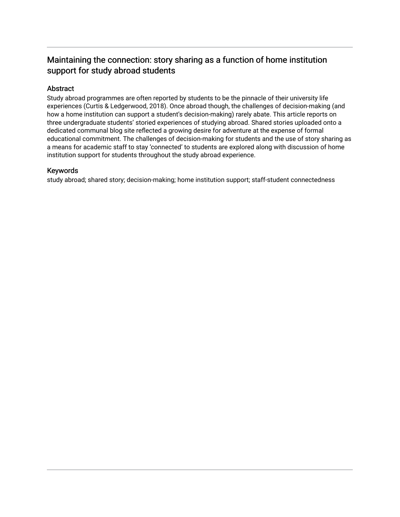### Maintaining the connection: story sharing as a function of home institution support for study abroad students

#### Abstract

Study abroad programmes are often reported by students to be the pinnacle of their university life experiences (Curtis & Ledgerwood, 2018). Once abroad though, the challenges of decision-making (and how a home institution can support a student's decision-making) rarely abate. This article reports on three undergraduate students' storied experiences of studying abroad. Shared stories uploaded onto a dedicated communal blog site reflected a growing desire for adventure at the expense of formal educational commitment. The challenges of decision-making for students and the use of story sharing as a means for academic staff to stay 'connected' to students are explored along with discussion of home institution support for students throughout the study abroad experience.

#### Keywords

study abroad; shared story; decision-making; home institution support; staff-student connectedness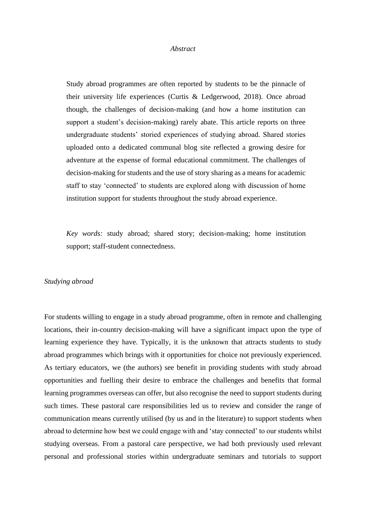#### *Abstract*

Study abroad programmes are often reported by students to be the pinnacle of their university life experiences (Curtis & Ledgerwood, 2018). Once abroad though, the challenges of decision-making (and how a home institution can support a student's decision-making) rarely abate. This article reports on three undergraduate students' storied experiences of studying abroad. Shared stories uploaded onto a dedicated communal blog site reflected a growing desire for adventure at the expense of formal educational commitment. The challenges of decision-making for students and the use of story sharing as a means for academic staff to stay 'connected' to students are explored along with discussion of home institution support for students throughout the study abroad experience.

*Key words:* study abroad; shared story; decision-making; home institution support; staff-student connectedness.

#### *Studying abroad*

For students willing to engage in a study abroad programme, often in remote and challenging locations, their in-country decision-making will have a significant impact upon the type of learning experience they have. Typically, it is the unknown that attracts students to study abroad programmes which brings with it opportunities for choice not previously experienced. As tertiary educators, we (the authors) see benefit in providing students with study abroad opportunities and fuelling their desire to embrace the challenges and benefits that formal learning programmes overseas can offer, but also recognise the need to support students during such times. These pastoral care responsibilities led us to review and consider the range of communication means currently utilised (by us and in the literature) to support students when abroad to determine how best we could engage with and 'stay connected' to our students whilst studying overseas. From a pastoral care perspective, we had both previously used relevant personal and professional stories within undergraduate seminars and tutorials to support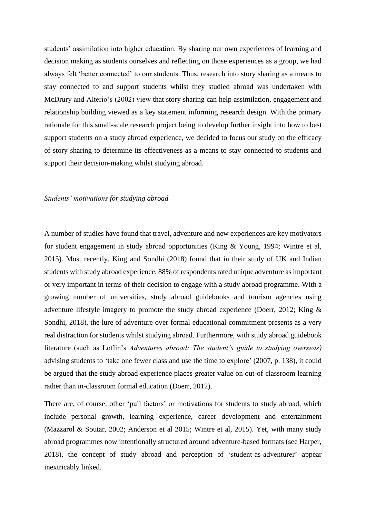students' assimilation into higher education. By sharing our own experiences of learning and decision making as students ourselves and reflecting on those experiences as a group, we had always felt 'better connected' to our students. Thus, research into story sharing as a means to stay connected to and support students whilst they studied abroad was undertaken with McDrury and Alterio's (2002) view that story sharing can help assimilation, engagement and relationship building viewed as a key statement informing research design. With the primary rationale for this small-scale research project being to develop further insight into how to best support students on a study abroad experience, we decided to focus our study on the efficacy of story sharing to determine its effectiveness as a means to stay connected to students and support their decision-making whilst studying abroad.

#### *Students' motivations for studying abroad*

A number of studies have found that travel, adventure and new experiences are key motivators for student engagement in study abroad opportunities (King & Young, 1994; Wintre et al, 2015). Most recently, King and Sondhi (2018) found that in their study of UK and Indian students with study abroad experience, 88% of respondents rated unique adventure as important or very important in terms of their decision to engage with a study abroad programme. With a growing number of universities, study abroad guidebooks and tourism agencies using adventure lifestyle imagery to promote the study abroad experience (Doerr, 2012; King & Sondhi, 2018), the lure of adventure over formal educational commitment presents as a very real distraction for students whilst studying abroad. Furthermore, with study abroad guidebook literature (such as Loflin's *Adventures abroad: The student's guide to studying overseas)* advising students to 'take one fewer class and use the time to explore' (2007, p. 138), it could be argued that the study abroad experience places greater value on out-of-classroom learning rather than in-classroom formal education (Doerr, 2012).

There are, of course, other 'pull factors' or motivations for students to study abroad, which include personal growth, learning experience, career development and entertainment (Mazzarol & Soutar, 2002; Anderson et al 2015; Wintre et al, 2015). Yet, with many study abroad programmes now intentionally structured around adventure-based formats (see Harper, 2018), the concept of study abroad and perception of 'student-as-adventurer' appear inextricably linked.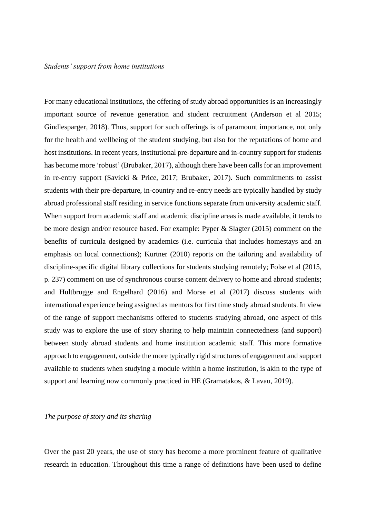For many educational institutions, the offering of study abroad opportunities is an increasingly important source of revenue generation and student recruitment (Anderson et al 2015; Gindlesparger, 2018). Thus, support for such offerings is of paramount importance, not only for the health and wellbeing of the student studying, but also for the reputations of home and host institutions. In recent years, institutional pre-departure and in-country support for students has become more 'robust' (Brubaker, 2017), although there have been calls for an improvement in re-entry support (Savicki & Price, 2017; Brubaker, 2017). Such commitments to assist students with their pre-departure, in-country and re-entry needs are typically handled by study abroad professional staff residing in service functions separate from university academic staff. When support from academic staff and academic discipline areas is made available, it tends to be more design and/or resource based. For example: Pyper & Slagter (2015) comment on the benefits of curricula designed by academics (i.e. curricula that includes homestays and an emphasis on local connections); Kurtner (2010) reports on the tailoring and availability of discipline-specific digital library collections for students studying remotely; Folse et al (2015, p. 237) comment on use of synchronous course content delivery to home and abroad students; and Hultbrugge and Engelhard (2016) and Morse et al (2017) discuss students with international experience being assigned as mentors for first time study abroad students. In view of the range of support mechanisms offered to students studying abroad, one aspect of this study was to explore the use of story sharing to help maintain connectedness (and support) between study abroad students and home institution academic staff. This more formative approach to engagement, outside the more typically rigid structures of engagement and support available to students when studying a module within a home institution, is akin to the type of support and learning now commonly practiced in HE (Gramatakos, & Lavau, 2019).

#### *The purpose of story and its sharing*

Over the past 20 years, the use of story has become a more prominent feature of qualitative research in education. Throughout this time a range of definitions have been used to define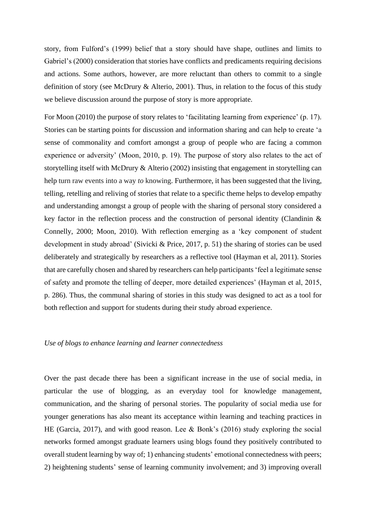story, from Fulford's (1999) belief that a story should have shape, outlines and limits to Gabriel's (2000) consideration that stories have conflicts and predicaments requiring decisions and actions. Some authors, however, are more reluctant than others to commit to a single definition of story (see McDrury & Alterio, 2001). Thus, in relation to the focus of this study we believe discussion around the purpose of story is more appropriate.

For Moon (2010) the purpose of story relates to 'facilitating learning from experience' (p. 17). Stories can be starting points for discussion and information sharing and can help to create 'a sense of commonality and comfort amongst a group of people who are facing a common experience or adversity' (Moon, 2010, p. 19). The purpose of story also relates to the act of storytelling itself with McDrury & Alterio (2002) insisting that engagement in storytelling can help turn raw events into a way *to* knowing. Furthermore, it has been suggested that the living, telling, retelling and reliving of stories that relate to a specific theme helps to develop empathy and understanding amongst a group of people with the sharing of personal story considered a key factor in the reflection process and the construction of personal identity (Clandinin  $\&$ Connelly, 2000; Moon, 2010). With reflection emerging as a 'key component of student development in study abroad' (Sivicki & Price, 2017, p. 51) the sharing of stories can be used deliberately and strategically by researchers as a reflective tool (Hayman et al, 2011). Stories that are carefully chosen and shared by researchers can help participants 'feel a legitimate sense of safety and promote the telling of deeper, more detailed experiences' (Hayman et al, 2015, p. 286). Thus, the communal sharing of stories in this study was designed to act as a tool for both reflection and support for students during their study abroad experience.

#### *Use of blogs to enhance learning and learner connectedness*

Over the past decade there has been a significant increase in the use of social media, in particular the use of blogging, as an everyday tool for knowledge management, communication, and the sharing of personal stories. The popularity of social media use for younger generations has also meant its acceptance within learning and teaching practices in HE (Garcia, 2017), and with good reason. Lee & Bonk's (2016) study exploring the social networks formed amongst graduate learners using blogs found they positively contributed to overall student learning by way of; 1) enhancing students' emotional connectedness with peers; 2) heightening students' sense of learning community involvement; and 3) improving overall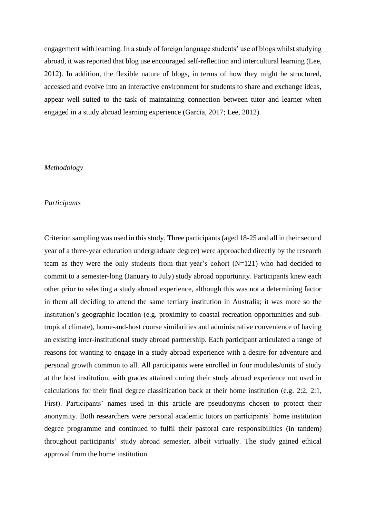engagement with learning. In a study of foreign language students' use of blogs whilst studying abroad, it was reported that blog use encouraged self-reflection and intercultural learning (Lee, 2012). In addition, the flexible nature of blogs, in terms of how they might be structured, accessed and evolve into an interactive environment for students to share and exchange ideas, appear well suited to the task of maintaining connection between tutor and learner when engaged in a study abroad learning experience (Garcia, 2017; Lee, 2012).

#### *Methodology*

#### *Participants*

Criterion sampling was used in this study. Three participants (aged 18-25 and all in their second year of a three-year education undergraduate degree) were approached directly by the research team as they were the only students from that year's cohort (N=121) who had decided to commit to a semester-long (January to July) study abroad opportunity. Participants knew each other prior to selecting a study abroad experience, although this was not a determining factor in them all deciding to attend the same tertiary institution in Australia; it was more so the institution's geographic location (e.g. proximity to coastal recreation opportunities and subtropical climate), home-and-host course similarities and administrative convenience of having an existing inter-institutional study abroad partnership. Each participant articulated a range of reasons for wanting to engage in a study abroad experience with a desire for adventure and personal growth common to all. All participants were enrolled in four modules/units of study at the host institution, with grades attained during their study abroad experience not used in calculations for their final degree classification back at their home institution (e.g. 2:2, 2:1, First). Participants' names used in this article are pseudonyms chosen to protect their anonymity. Both researchers were personal academic tutors on participants' home institution degree programme and continued to fulfil their pastoral care responsibilities (in tandem) throughout participants' study abroad semester, albeit virtually. The study gained ethical approval from the home institution.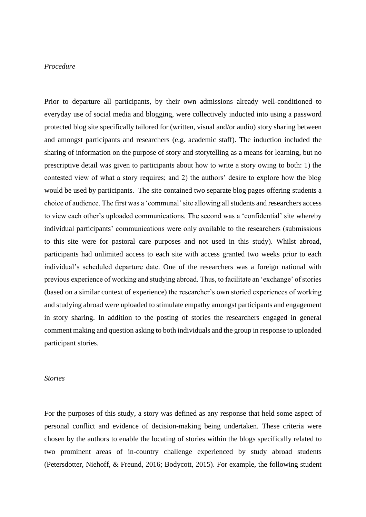#### *Procedure*

Prior to departure all participants, by their own admissions already well-conditioned to everyday use of social media and blogging, were collectively inducted into using a password protected blog site specifically tailored for (written, visual and/or audio) story sharing between and amongst participants and researchers (e.g. academic staff). The induction included the sharing of information on the purpose of story and storytelling as a means for learning, but no prescriptive detail was given to participants about how to write a story owing to both: 1) the contested view of what a story requires; and 2) the authors' desire to explore how the blog would be used by participants. The site contained two separate blog pages offering students a choice of audience. The first was a 'communal' site allowing all students and researchers access to view each other's uploaded communications. The second was a 'confidential' site whereby individual participants' communications were only available to the researchers (submissions to this site were for pastoral care purposes and not used in this study). Whilst abroad, participants had unlimited access to each site with access granted two weeks prior to each individual's scheduled departure date. One of the researchers was a foreign national with previous experience of working and studying abroad. Thus, to facilitate an 'exchange' of stories (based on a similar context of experience) the researcher's own storied experiences of working and studying abroad were uploaded to stimulate empathy amongst participants and engagement in story sharing. In addition to the posting of stories the researchers engaged in general comment making and question asking to both individuals and the group in response to uploaded participant stories.

#### *Stories*

For the purposes of this study, a story was defined as any response that held some aspect of personal conflict and evidence of decision-making being undertaken. These criteria were chosen by the authors to enable the locating of stories within the blogs specifically related to two prominent areas of in-country challenge experienced by study abroad students (Petersdotter, Niehoff, & Freund, 2016; Bodycott, 2015). For example, the following student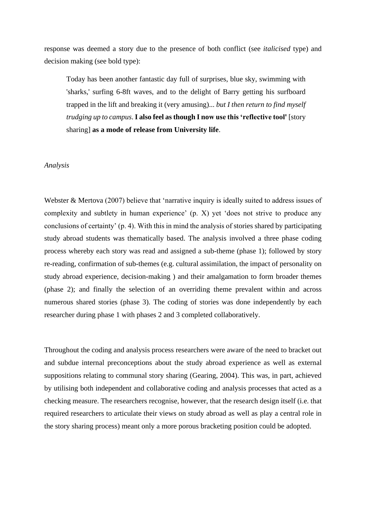response was deemed a story due to the presence of both conflict (see *italicised* type) and decision making (see bold type):

Today has been another fantastic day full of surprises, blue sky, swimming with 'sharks,' surfing 6-8ft waves, and to the delight of Barry getting his surfboard trapped in the lift and breaking it (very amusing)... *but I then return to find myself trudging up to campus*. **I also feel as though I now use this 'reflective tool'** [story sharing] **as a mode of release from University life**.

#### *Analysis*

Webster & Mertova (2007) believe that 'narrative inquiry is ideally suited to address issues of complexity and subtlety in human experience' (p. X) yet 'does not strive to produce any conclusions of certainty' (p. 4). With this in mind the analysis of stories shared by participating study abroad students was thematically based. The analysis involved a three phase coding process whereby each story was read and assigned a sub-theme (phase 1); followed by story re-reading, confirmation of sub-themes (e.g. cultural assimilation, the impact of personality on study abroad experience, decision-making ) and their amalgamation to form broader themes (phase 2); and finally the selection of an overriding theme prevalent within and across numerous shared stories (phase 3). The coding of stories was done independently by each researcher during phase 1 with phases 2 and 3 completed collaboratively.

Throughout the coding and analysis process researchers were aware of the need to bracket out and subdue internal preconceptions about the study abroad experience as well as external suppositions relating to communal story sharing (Gearing, 2004). This was, in part, achieved by utilising both independent and collaborative coding and analysis processes that acted as a checking measure. The researchers recognise, however, that the research design itself (i.e. that required researchers to articulate their views on study abroad as well as play a central role in the story sharing process) meant only a more porous bracketing position could be adopted.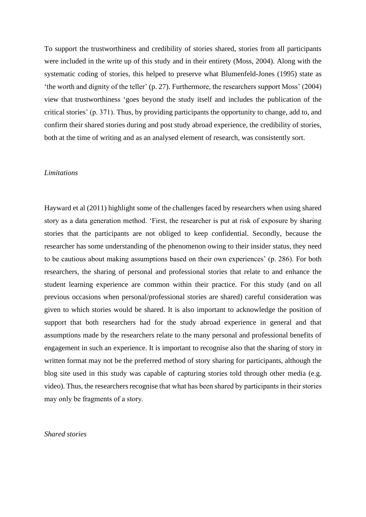To support the trustworthiness and credibility of stories shared, stories from all participants were included in the write up of this study and in their entirety (Moss, 2004). Along with the systematic coding of stories, this helped to preserve what Blumenfeld-Jones (1995) state as 'the worth and dignity of the teller' (p. 27). Furthermore, the researchers support Moss' (2004) view that trustworthiness 'goes beyond the study itself and includes the publication of the critical stories' (p. 371). Thus, by providing participants the opportunity to change, add to, and confirm their shared stories during and post study abroad experience, the credibility of stories, both at the time of writing and as an analysed element of research, was consistently sort.

#### *Limitations*

Hayward et al (2011) highlight some of the challenges faced by researchers when using shared story as a data generation method. 'First, the researcher is put at risk of exposure by sharing stories that the participants are not obliged to keep confidential. Secondly, because the researcher has some understanding of the phenomenon owing to their insider status, they need to be cautious about making assumptions based on their own experiences' (p. 286). For both researchers, the sharing of personal and professional stories that relate to and enhance the student learning experience are common within their practice. For this study (and on all previous occasions when personal/professional stories are shared) careful consideration was given to which stories would be shared. It is also important to acknowledge the position of support that both researchers had for the study abroad experience in general and that assumptions made by the researchers relate to the many personal and professional benefits of engagement in such an experience. It is important to recognise also that the sharing of story in written format may not be the preferred method of story sharing for participants, although the blog site used in this study was capable of capturing stories told through other media (e.g. video). Thus, the researchers recognise that what has been shared by participants in their stories may only be fragments of a story.

*Shared stories*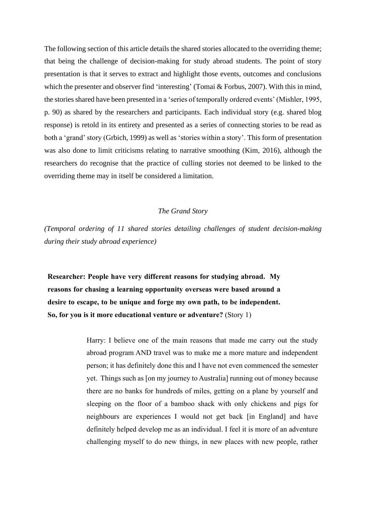The following section of this article details the shared stories allocated to the overriding theme; that being the challenge of decision-making for study abroad students. The point of story presentation is that it serves to extract and highlight those events, outcomes and conclusions which the presenter and observer find 'interesting' (Tomai & Forbus, 2007). With this in mind, the stories shared have been presented in a 'series of temporally ordered events' (Mishler, 1995, p. 90) as shared by the researchers and participants. Each individual story (e.g. shared blog response) is retold in its entirety and presented as a series of connecting stories to be read as both a 'grand' story (Grbich, 1999) as well as 'stories within a story'. This form of presentation was also done to limit criticisms relating to narrative smoothing (Kim, 2016), although the researchers do recognise that the practice of culling stories not deemed to be linked to the overriding theme may in itself be considered a limitation.

#### *The Grand Story*

*(Temporal ordering of 11 shared stories detailing challenges of student decision-making during their study abroad experience)*

**Researcher: People have very different reasons for studying abroad. My reasons for chasing a learning opportunity overseas were based around a desire to escape, to be unique and forge my own path, to be independent. So, for you is it more educational venture or adventure?** (Story 1)

> Harry: I believe one of the main reasons that made me carry out the study abroad program AND travel was to make me a more mature and independent person; it has definitely done this and I have not even commenced the semester yet. Things such as [on my journey to Australia] running out of money because there are no banks for hundreds of miles, getting on a plane by yourself and sleeping on the floor of a bamboo shack with only chickens and pigs for neighbours are experiences I would not get back [in England] and have definitely helped develop me as an individual. I feel it is more of an adventure challenging myself to do new things, in new places with new people, rather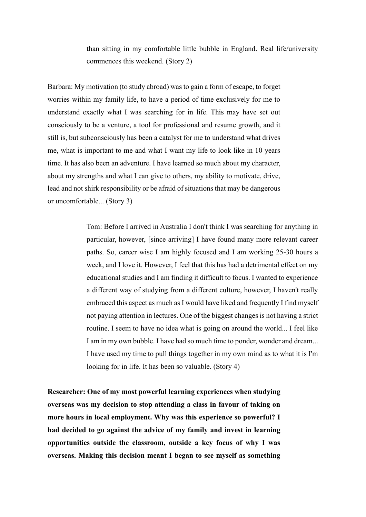than sitting in my comfortable little bubble in England. Real life/university commences this weekend. (Story 2)

Barbara: My motivation (to study abroad) was to gain a form of escape, to forget worries within my family life, to have a period of time exclusively for me to understand exactly what I was searching for in life. This may have set out consciously to be a venture, a tool for professional and resume growth, and it still is, but subconsciously has been a catalyst for me to understand what drives me, what is important to me and what I want my life to look like in 10 years time. It has also been an adventure. I have learned so much about my character, about my strengths and what I can give to others, my ability to motivate, drive, lead and not shirk responsibility or be afraid of situations that may be dangerous or uncomfortable... (Story 3)

> Tom: Before I arrived in Australia I don't think I was searching for anything in particular, however, [since arriving] I have found many more relevant career paths. So, career wise I am highly focused and I am working 25-30 hours a week, and I love it. However, I feel that this has had a detrimental effect on my educational studies and I am finding it difficult to focus. I wanted to experience a different way of studying from a different culture, however, I haven't really embraced this aspect as much as I would have liked and frequently I find myself not paying attention in lectures. One of the biggest changes is not having a strict routine. I seem to have no idea what is going on around the world... I feel like I am in my own bubble. I have had so much time to ponder, wonder and dream... I have used my time to pull things together in my own mind as to what it is I'm looking for in life. It has been so valuable. (Story 4)

**Researcher: One of my most powerful learning experiences when studying overseas was my decision to stop attending a class in favour of taking on more hours in local employment. Why was this experience so powerful? I had decided to go against the advice of my family and invest in learning opportunities outside the classroom, outside a key focus of why I was overseas. Making this decision meant I began to see myself as something**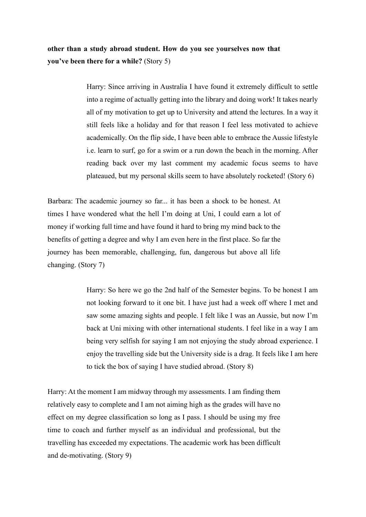**other than a study abroad student. How do you see yourselves now that you've been there for a while?** (Story 5)

> Harry: Since arriving in Australia I have found it extremely difficult to settle into a regime of actually getting into the library and doing work! It takes nearly all of my motivation to get up to University and attend the lectures. In a way it still feels like a holiday and for that reason I feel less motivated to achieve academically. On the flip side, I have been able to embrace the Aussie lifestyle i.e. learn to surf, go for a swim or a run down the beach in the morning. After reading back over my last comment my academic focus seems to have plateaued, but my personal skills seem to have absolutely rocketed! (Story 6)

Barbara: The academic journey so far... it has been a shock to be honest. At times I have wondered what the hell I'm doing at Uni, I could earn a lot of money if working full time and have found it hard to bring my mind back to the benefits of getting a degree and why I am even here in the first place. So far the journey has been memorable, challenging, fun, dangerous but above all life changing. (Story 7)

> Harry: So here we go the 2nd half of the Semester begins. To be honest I am not looking forward to it one bit. I have just had a week off where I met and saw some amazing sights and people. I felt like I was an Aussie, but now I'm back at Uni mixing with other international students. I feel like in a way I am being very selfish for saying I am not enjoying the study abroad experience. I enjoy the travelling side but the University side is a drag. It feels like I am here to tick the box of saying I have studied abroad. (Story 8)

Harry: At the moment I am midway through my assessments. I am finding them relatively easy to complete and I am not aiming high as the grades will have no effect on my degree classification so long as I pass. I should be using my free time to coach and further myself as an individual and professional, but the travelling has exceeded my expectations. The academic work has been difficult and de-motivating. (Story 9)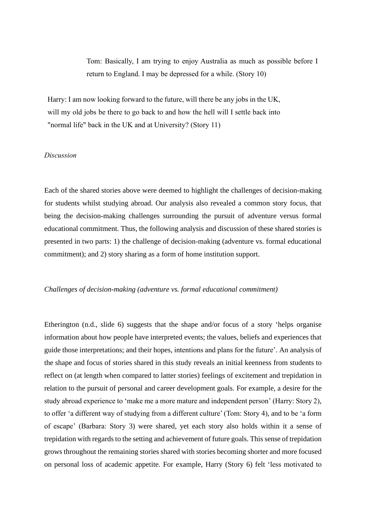Tom: Basically, I am trying to enjoy Australia as much as possible before I return to England. I may be depressed for a while. (Story 10)

Harry: I am now looking forward to the future, will there be any jobs in the UK, will my old jobs be there to go back to and how the hell will I settle back into "normal life" back in the UK and at University? (Story 11)

#### *Discussion*

Each of the shared stories above were deemed to highlight the challenges of decision-making for students whilst studying abroad. Our analysis also revealed a common story focus, that being the decision-making challenges surrounding the pursuit of adventure versus formal educational commitment. Thus, the following analysis and discussion of these shared stories is presented in two parts: 1) the challenge of decision-making (adventure vs. formal educational commitment); and 2) story sharing as a form of home institution support.

#### *Challenges of decision-making (adventure vs. formal educational commitment)*

Etherington (n.d., slide 6) suggests that the shape and/or focus of a story 'helps organise information about how people have interpreted events; the values, beliefs and experiences that guide those interpretations; and their hopes, intentions and plans for the future'. An analysis of the shape and focus of stories shared in this study reveals an initial keenness from students to reflect on (at length when compared to latter stories) feelings of excitement and trepidation in relation to the pursuit of personal and career development goals. For example, a desire for the study abroad experience to 'make me a more mature and independent person' (Harry: Story 2), to offer 'a different way of studying from a different culture' (Tom: Story 4), and to be 'a form of escape' (Barbara: Story 3) were shared, yet each story also holds within it a sense of trepidation with regards to the setting and achievement of future goals. This sense of trepidation grows throughout the remaining stories shared with stories becoming shorter and more focused on personal loss of academic appetite. For example, Harry (Story 6) felt 'less motivated to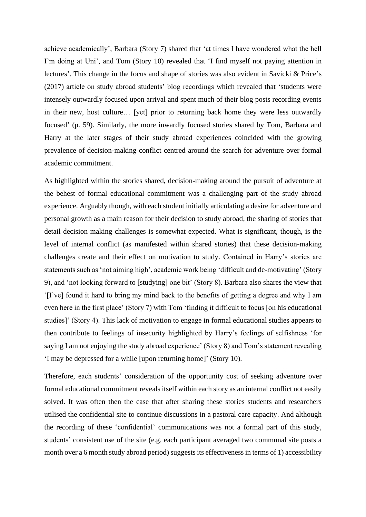achieve academically', Barbara (Story 7) shared that 'at times I have wondered what the hell I'm doing at Uni', and Tom (Story 10) revealed that 'I find myself not paying attention in lectures'. This change in the focus and shape of stories was also evident in Savicki & Price's (2017) article on study abroad students' blog recordings which revealed that 'students were intensely outwardly focused upon arrival and spent much of their blog posts recording events in their new, host culture… [yet] prior to returning back home they were less outwardly focused' (p. 59). Similarly, the more inwardly focused stories shared by Tom, Barbara and Harry at the later stages of their study abroad experiences coincided with the growing prevalence of decision-making conflict centred around the search for adventure over formal academic commitment.

As highlighted within the stories shared, decision-making around the pursuit of adventure at the behest of formal educational commitment was a challenging part of the study abroad experience. Arguably though, with each student initially articulating a desire for adventure and personal growth as a main reason for their decision to study abroad, the sharing of stories that detail decision making challenges is somewhat expected. What is significant, though, is the level of internal conflict (as manifested within shared stories) that these decision-making challenges create and their effect on motivation to study. Contained in Harry's stories are statements such as 'not aiming high', academic work being 'difficult and de-motivating' (Story 9), and 'not looking forward to [studying] one bit' (Story 8). Barbara also shares the view that '[I've] found it hard to bring my mind back to the benefits of getting a degree and why I am even here in the first place' (Story 7) with Tom 'finding it difficult to focus [on his educational studies]' (Story 4). This lack of motivation to engage in formal educational studies appears to then contribute to feelings of insecurity highlighted by Harry's feelings of selfishness 'for saying I am not enjoying the study abroad experience' (Story 8) and Tom's statement revealing 'I may be depressed for a while [upon returning home]' (Story 10).

Therefore, each students' consideration of the opportunity cost of seeking adventure over formal educational commitment reveals itself within each story as an internal conflict not easily solved. It was often then the case that after sharing these stories students and researchers utilised the confidential site to continue discussions in a pastoral care capacity. And although the recording of these 'confidential' communications was not a formal part of this study, students' consistent use of the site (e.g. each participant averaged two communal site posts a month over a 6 month study abroad period) suggests its effectiveness in terms of 1) accessibility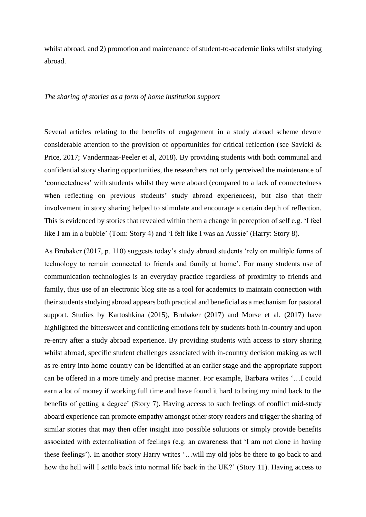whilst abroad, and 2) promotion and maintenance of student-to-academic links whilst studying abroad.

#### *The sharing of stories as a form of home institution support*

Several articles relating to the benefits of engagement in a study abroad scheme devote considerable attention to the provision of opportunities for critical reflection (see Savicki & Price, 2017; Vandermaas-Peeler et al, 2018). By providing students with both communal and confidential story sharing opportunities, the researchers not only perceived the maintenance of 'connectedness' with students whilst they were aboard (compared to a lack of connectedness when reflecting on previous students' study abroad experiences), but also that their involvement in story sharing helped to stimulate and encourage a certain depth of reflection. This is evidenced by stories that revealed within them a change in perception of self e.g. 'I feel like I am in a bubble' (Tom: Story 4) and 'I felt like I was an Aussie' (Harry: Story 8).

As Brubaker (2017, p. 110) suggests today's study abroad students 'rely on multiple forms of technology to remain connected to friends and family at home'. For many students use of communication technologies is an everyday practice regardless of proximity to friends and family, thus use of an electronic blog site as a tool for academics to maintain connection with their students studying abroad appears both practical and beneficial as a mechanism for pastoral support. Studies by Kartoshkina (2015), Brubaker (2017) and Morse et al. (2017) have highlighted the bittersweet and conflicting emotions felt by students both in-country and upon re-entry after a study abroad experience. By providing students with access to story sharing whilst abroad, specific student challenges associated with in-country decision making as well as re-entry into home country can be identified at an earlier stage and the appropriate support can be offered in a more timely and precise manner. For example, Barbara writes '…I could earn a lot of money if working full time and have found it hard to bring my mind back to the benefits of getting a degree' (Story 7). Having access to such feelings of conflict mid-study aboard experience can promote empathy amongst other story readers and trigger the sharing of similar stories that may then offer insight into possible solutions or simply provide benefits associated with externalisation of feelings (e.g. an awareness that 'I am not alone in having these feelings'). In another story Harry writes '…will my old jobs be there to go back to and how the hell will I settle back into normal life back in the UK?' (Story 11). Having access to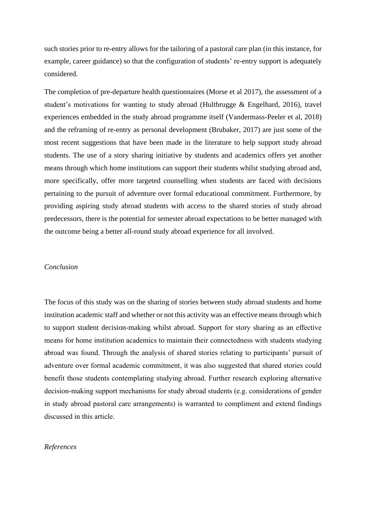such stories prior to re-entry allows for the tailoring of a pastoral care plan (in this instance, for example, career guidance) so that the configuration of students' re-entry support is adequately considered.

The completion of pre-departure health questionnaires (Morse et al 2017), the assessment of a student's motivations for wanting to study abroad (Hultbrugge & Engelhard, 2016), travel experiences embedded in the study abroad programme itself (Vandermass-Peeler et al, 2018) and the reframing of re-entry as personal development (Brubaker, 2017) are just some of the most recent suggestions that have been made in the literature to help support study abroad students. The use of a story sharing initiative by students and academics offers yet another means through which home institutions can support their students whilst studying abroad and, more specifically, offer more targeted counselling when students are faced with decisions pertaining to the pursuit of adventure over formal educational commitment. Furthermore, by providing aspiring study abroad students with access to the shared stories of study abroad predecessors, there is the potential for semester abroad expectations to be better managed with the outcome being a better all-round study abroad experience for all involved.

#### *Conclusion*

The focus of this study was on the sharing of stories between study abroad students and home institution academic staff and whether or not this activity was an effective means through which to support student decision-making whilst abroad. Support for story sharing as an effective means for home institution academics to maintain their connectedness with students studying abroad was found. Through the analysis of shared stories relating to participants' pursuit of adventure over formal academic commitment, it was also suggested that shared stories could benefit those students contemplating studying abroad. Further research exploring alternative decision-making support mechanisms for study abroad students (e.g. considerations of gender in study abroad pastoral care arrangements) is warranted to compliment and extend findings discussed in this article.

#### *References*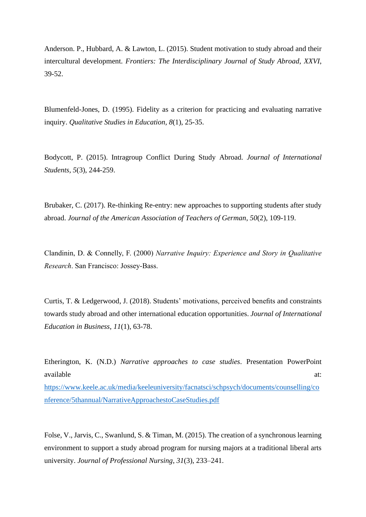Anderson. P., Hubbard, A. & Lawton, L. (2015). Student motivation to study abroad and their intercultural development. *Frontiers: The Interdisciplinary Journal of Study Abroad*, *XXVI*, 39-52.

Blumenfeld-Jones, D. (1995). Fidelity as a criterion for practicing and evaluating narrative inquiry. *Qualitative Studies in Education, 8*(1), 25-35.

Bodycott, P. (2015). Intragroup Conflict During Study Abroad. *Journal of International Students, 5*(3), 244-259.

Brubaker, C. (2017). Re-thinking Re-entry: new approaches to supporting students after study abroad. *Journal of the American Association of Teachers of German*, *50*(2), 109-119.

Clandinin, D. & Connelly, F. (2000) *Narrative Inquiry: Experience and Story in Qualitative Research*. San Francisco: Jossey-Bass.

Curtis, T. & Ledgerwood, J. (2018). Students' motivations, perceived benefits and constraints towards study abroad and other international education opportunities. *Journal of International Education in Business*, *11*(1), 63-78.

Etherington, K. (N.D.) *Narrative approaches to case studies*. Presentation PowerPoint available at: and a state of  $\alpha$  at: a state of  $\alpha$  at: [https://www.keele.ac.uk/media/keeleuniversity/facnatsci/schpsych/documents/counselling/co](https://www.keele.ac.uk/media/keeleuniversity/facnatsci/schpsych/documents/counselling/conference/5thannual/NarrativeApproachestoCaseStudies.pdf) [nference/5thannual/NarrativeApproachestoCaseStudies.pdf](https://www.keele.ac.uk/media/keeleuniversity/facnatsci/schpsych/documents/counselling/conference/5thannual/NarrativeApproachestoCaseStudies.pdf)

Folse, V., Jarvis, C., Swanlund, S. & Timan, M. (2015). The creation of a synchronous learning environment to support a study abroad program for nursing majors at a traditional liberal arts university. *Journal of Professional Nursing*, *31*(3), 233–241.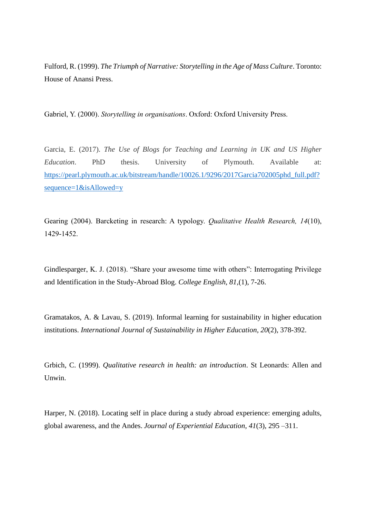Fulford, R. (1999). *The Triumph of Narrative: Storytelling in the Age of Mass Culture*. Toronto: House of Anansi Press.

Gabriel, Y. (2000). *Storytelling in organisations*. Oxford: Oxford University Press.

Garcia, E. (2017). *The Use of Blogs for Teaching and Learning in UK and US Higher Education*. PhD thesis. University of Plymouth. Available at: [https://pearl.plymouth.ac.uk/bitstream/handle/10026.1/9296/2017Garcia702005phd\\_full.pdf?](https://pearl.plymouth.ac.uk/bitstream/handle/10026.1/9296/2017Garcia702005phd_full.pdf?sequence=1&isAllowed=y) [sequence=1&isAllowed=y](https://pearl.plymouth.ac.uk/bitstream/handle/10026.1/9296/2017Garcia702005phd_full.pdf?sequence=1&isAllowed=y)

Gearing (2004). Barcketing in research: A typology. *Qualitative Health Research, 14*(10), 1429-1452.

Gindlesparger, K. J. (2018). "Share your awesome time with others": Interrogating Privilege and Identification in the Study-Abroad Blog. *College English, 81,*(1), 7-26.

Gramatakos, A. & Lavau, S. (2019). Informal learning for sustainability in higher education institutions. *International Journal of Sustainability in Higher Education*, *20*(2), 378-392.

Grbich, C. (1999). *Qualitative research in health: an introduction*. St Leonards: Allen and Unwin.

Harper, N. (2018). Locating self in place during a study abroad experience: emerging adults, global awareness, and the Andes. *Journal of Experiential Education*, *41*(3), 295 –311.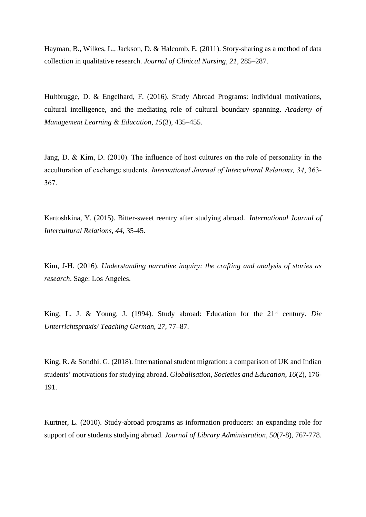Hayman, B., Wilkes, L., Jackson, D. & Halcomb, E. (2011). Story-sharing as a method of data collection in qualitative research. *Journal of Clinical Nursing, 21*, 285–287.

Hultbrugge, D. & Engelhard, F. (2016). Study Abroad Programs: individual motivations, cultural intelligence, and the mediating role of cultural boundary spanning. *Academy of Management Learning & Education*, *15*(3), 435–455.

Jang, D. & Kim, D. (2010). The influence of host cultures on the role of personality in the acculturation of exchange students. *International Journal of Intercultural Relations, 34*, 363- 367.

Kartoshkina, Y. (2015). Bitter-sweet reentry after studying abroad. *International Journal of Intercultural Relations, 44*, 35-45.

Kim, J-H. (2016). *Understanding narrative inquiry: the crafting and analysis of stories as research*. Sage: Los Angeles.

King, L. J. & Young, J. (1994). Study abroad: Education for the 21st century. *Die Unterrichtspraxis/ Teaching German*, *27*, 77‒87.

King, R. & Sondhi. G. (2018). International student migration: a comparison of UK and Indian students' motivations for studying abroad. *Globalisation, Societies and Education*, *16*(2), 176- 191.

Kurtner, L. (2010). Study-abroad programs as information producers: an expanding role for support of our students studying abroad. *Journal of Library Administration*, *50*(7-8), 767-778.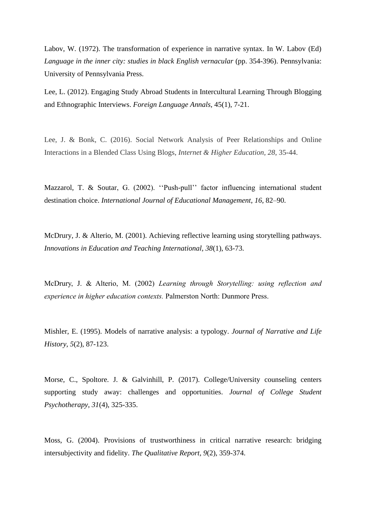Labov, W. (1972). The transformation of experience in narrative syntax. In W. Labov (Ed) *Language in the inner city: studies in black English vernacular* (pp. 354-396). Pennsylvania: University of Pennsylvania Press.

Lee, L. (2012). Engaging Study Abroad Students in Intercultural Learning Through Blogging and Ethnographic Interviews. *Foreign Language Annals*, 45(1), 7-21.

Lee, J. & Bonk, C. (2016). Social Network Analysis of Peer Relationships and Online Interactions in a Blended Class Using Blogs, *Internet & Higher Education, 28*, 35-44.

Mazzarol, T. & Soutar, G. (2002). ''Push-pull'' factor influencing international student destination choice. *International Journal of Educational Management*, *16*, 82–90.

McDrury, J. & Alterio, M. (2001). Achieving reflective learning using storytelling pathways. *Innovations in Education and Teaching International, 38*(1), 63-73.

McDrury, J. & Alterio, M. (2002) *Learning through Storytelling: using reflection and experience in higher education contexts.* Palmerston North: Dunmore Press.

Mishler, E. (1995). Models of narrative analysis: a typology. *Journal of Narrative and Life History, 5*(2), 87-123.

Morse, C., Spoltore. J. & Galvinhill, P. (2017). College/University counseling centers supporting study away: challenges and opportunities. *Journal of College Student Psychotherapy*, *31*(4), 325-335.

Moss, G. (2004). Provisions of trustworthiness in critical narrative research: bridging intersubjectivity and fidelity. *The Qualitative Report, 9*(2), 359-374.